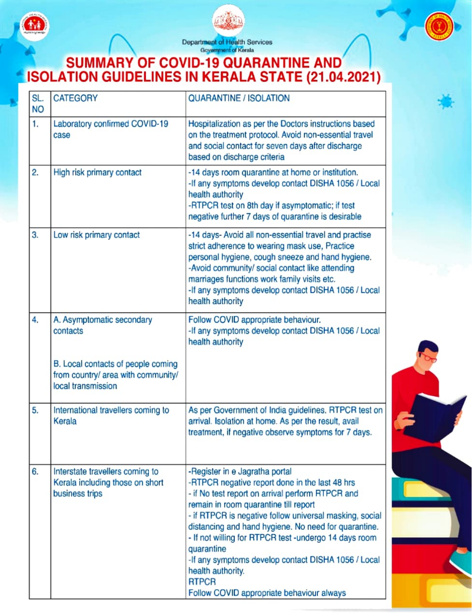



Department of Health Services<br>Government of Kerala

## Goyammant of Kerala SUMMARY OF COVID-19 QUARANTINE AND IsOLATION GUIDELINES IN KERALA STATE (21.04.2021)

| SL.<br><b>NO</b> | <b>CATEGORY</b>                                                                                                                         | <b>QUARANTINE / ISOLATION</b>                                                                                                                                                                                                                                                                                                                                                                                                                                                                                    |
|------------------|-----------------------------------------------------------------------------------------------------------------------------------------|------------------------------------------------------------------------------------------------------------------------------------------------------------------------------------------------------------------------------------------------------------------------------------------------------------------------------------------------------------------------------------------------------------------------------------------------------------------------------------------------------------------|
| 1.               | Laboratory confirmed COVID-19<br>case                                                                                                   | Hospitalization as per the Doctors instructions based<br>on the treatment protocol. Avoid non-essential travel<br>and social contact for seven days after discharge<br>based on discharge criteria                                                                                                                                                                                                                                                                                                               |
| 2.               | High risk primary contact                                                                                                               | -14 days room quarantine at home or institution.<br>-If any symptoms develop contact DISHA 1056 / Local<br>health authority<br>-RTPCR test on 8th day if asymptomatic; if test<br>negative further 7 days of quarantine is desirable                                                                                                                                                                                                                                                                             |
| 3.               | Low risk primary contact                                                                                                                | -14 days- Avoid all non-essential travel and practise<br>strict adherence to wearing mask use, Practice<br>personal hygiene, cough sneeze and hand hygiene.<br>-Avoid community/ social contact like attending<br>marriages functions work family visits etc.<br>-If any symptoms develop contact DISHA 1056 / Local<br>health authority                                                                                                                                                                         |
| 4.               | A. Asymptomatic secondary<br>contacts<br>B. Local contacts of people coming<br>from country/ area with community/<br>local transmission | Follow COVID appropriate behaviour.<br>-If any symptoms develop contact DISHA 1056 / Local<br>health authority                                                                                                                                                                                                                                                                                                                                                                                                   |
| 5.               | International travellers coming to<br>Kerala                                                                                            | As per Government of India guidelines. RTPCR test on<br>arrival. Isolation at home. As per the result, avail<br>treatment, if negative observe symptoms for 7 days.                                                                                                                                                                                                                                                                                                                                              |
| 6.               | Interstate travellers coming to<br>Kerala including those on short<br>business trips                                                    | -Register in e Jagratha portal<br>-RTPCR negative report done in the last 48 hrs<br>- if No test report on arrival perform RTPCR and<br>remain in room quarantine till report<br>- if RTPCR is negative follow universal masking, social<br>distancing and hand hygiene. No need for quarantine.<br>- If not willing for RTPCR test -undergo 14 days room<br>quarantine<br>-If any symptoms develop contact DISHA 1056 / Local<br>health authority.<br><b>RTPCR</b><br>Follow COVID appropriate behaviour always |

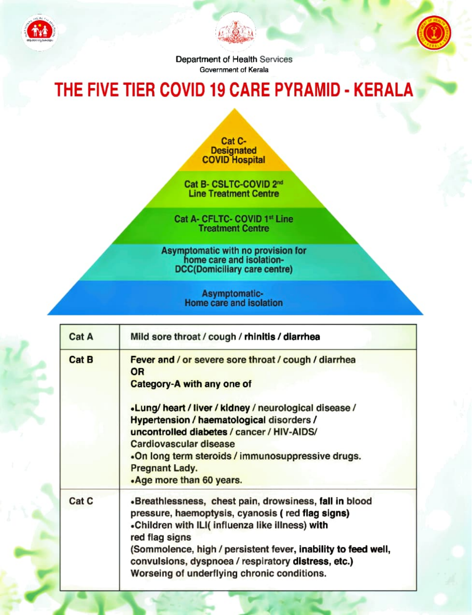





Department of Health Services Government of Kerala

## THE FIVE TIER COVID 19 CARE PYRAMID - KERALA

**Cat C-**<br>Designated **COVID Hospital** 

Cat B-CSLTC-COVID 2nd Line Treatment Centre

Cat A-CFLTC- COVID 1st Line Treatment Centre

Asymptomatic with no provision for home care and isolation- DCC(Domiciliary care centre)

Asymptomatic-<br>Home care and isolation

| Cat A        | Mild sore throat / cough / rhinitis / diarrhea                                                                                                                                                                                                                                                                                                          |
|--------------|---------------------------------------------------------------------------------------------------------------------------------------------------------------------------------------------------------------------------------------------------------------------------------------------------------------------------------------------------------|
| <b>Cat B</b> | Fever and / or severe sore throat / cough / diarrhea<br><b>OR</b>                                                                                                                                                                                                                                                                                       |
|              | <b>Category-A with any one of</b>                                                                                                                                                                                                                                                                                                                       |
|              | .Lung/heart / liver / kidney / neurological disease /<br>Hypertension / haematological disorders /<br>uncontrolled diabetes / cancer / HIV-AIDS/                                                                                                                                                                                                        |
|              | <b>Cardiovascular disease</b><br>.On long term steroids / immunosuppressive drugs.<br><b>Pregnant Lady.</b><br>.Age more than 60 years.                                                                                                                                                                                                                 |
| Cat C        | «Breathlessness, chest pain, drowsiness, fall in blood<br>pressure, haemoptysis, cyanosis (red flag signs)<br>«Children with ILI( influenza like illness) with<br>red flag signs<br>(Sommolence, high / persistent fever, inability to feed well,<br>convulsions, dyspnoea / respiratory distress, etc.)<br>Worseing of underflying chronic conditions. |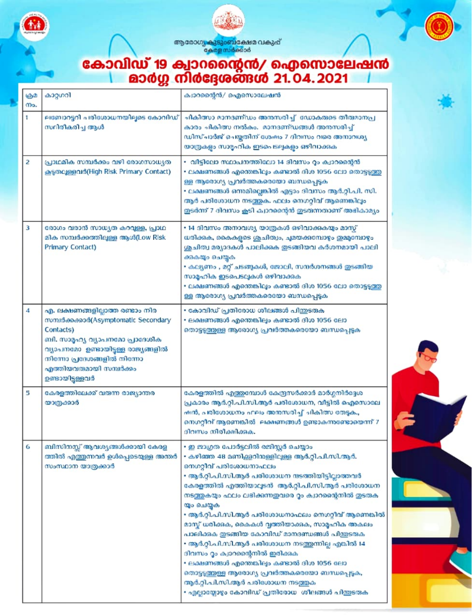



ആരോഗു കുടുംബക്ഷേമ വകുപ്പ്<br>കേരള സർക്കാർ

## കോവിഡ് 19 ക്വാറന്റൈൻ/ ഐസൊലേഷൻ<br>മാർഗ്ഗ നിർദ്ദേശങ്ങൾ 21.04.2021

|                | œ                                                                                                                                                                                                                                       |                                                                                                                                                                                                                                                                                                                                                                                                                                                                                                                                                                                                                                                                                                                                                               |
|----------------|-----------------------------------------------------------------------------------------------------------------------------------------------------------------------------------------------------------------------------------------|---------------------------------------------------------------------------------------------------------------------------------------------------------------------------------------------------------------------------------------------------------------------------------------------------------------------------------------------------------------------------------------------------------------------------------------------------------------------------------------------------------------------------------------------------------------------------------------------------------------------------------------------------------------------------------------------------------------------------------------------------------------|
| මාව<br>നം.     | കാറ്റഗറി                                                                                                                                                                                                                                | ക്വാറന്റൈൻ/ ഐസൊലേഷൻ                                                                                                                                                                                                                                                                                                                                                                                                                                                                                                                                                                                                                                                                                                                                           |
| 1              | ലബോറട്ടറി പരിശോധനയിലൂടെ കോവിഡ്<br>സ്ഥിരീകരിച്ച ആൾ                                                                                                                                                                                       | ചികിത്സാ മാനദണ്ഡം അന്തസരിച്ച് ഡോകരുടെ തീരുമാനപ്ര<br>കാരം ചികിത്സ നൽകം. മാനദണ്ഡങ്ങൾ അനുസരിച്ച്<br>ഡിസ്ചാർജ് ചെയ്യതിന് ശേഷം 7 ദിവസം വരെ അനാവശ്യ<br>യാത്രകളം സാമൂഹിക ഇടപെടലുകളം ഒഴിവാക്കുക                                                                                                                                                                                                                                                                                                                                                                                                                                                                                                                                                                       |
| 2              | പ്രാഥമിക സമ്പർക്കം വഴി രോഗസാധ്യത<br>കൂടുതലുള്ളവർ(High Risk Primary Contact)                                                                                                                                                             | • വിട്ടിലോ സ്ഥാപനത്തിലോ 14 ദിവസം റ്റം ക്വാറന്റൈൻ<br>• ലക്ഷണങ്ങൾ എന്തെങ്കിലും കണ്ടാൽ ദിശ 1056 ലോ തൊട്ടടുത്തു<br>ള്ള ആരോഗ്യ പ്രവർത്തകരെയോ ബന്ധപ്പെടുക<br>• ലക്ഷണങ്ങൾ ഒന്നമില്ലെങ്കിൽ എട്ടാം ദിവസം ആർ.റ്റി.പി. സി.<br>ആർ പരിശോധന നടത്തുക. ഫലം നെഗറ്റിവ് ആണെങ്കിലും<br>ഇടർന്ന് 7 ദിവസം കൂടി ക്വാറന്റൈൻ ഇടരുന്നതാണ് അഭികാമ്യം                                                                                                                                                                                                                                                                                                                                                                                                                                      |
| 3              | രോഗം വരാൻ സാധ്യത കറവുള്ള, പ്രാഥ<br>മിക സമ്പർക്കത്തിലുള്ള ആൾ(Low Risk<br>Primary Contact)                                                                                                                                                | • 14 ദിവസം അനാവശ്യ യാത്രകൾ ഒഴിവാക്കുകയും മാസ്<br>ധരിക്കുക, കൈകളുടെ ശുചിത്വം, ചുമയക്കമ്പോഴും ഇമ്മുമ്പോഴും<br>ശ്രചിത്വ മര്യാദകൾ പാലിക്കുക ഇടങ്ങിയവ കർശനമായി പാലി<br>ക്കുകയും ചെയ്യക<br>• കല്യണം , മറ്റ് ചടങ്ങുകൾ, ജോലി, സന്ദർശനങ്ങൾ ഇടങ്ങിയ<br>സാമഹിക ഇടപെടലുകൾ ഒഴിവാക്കുക<br>• ലക്ഷണങ്ങൾ എന്തെങ്കിലും കണ്ടാൽ ദിശ 1056 ലോ തൊട്ടടുത്തു<br>ള്ള ആരോഗ്യ പ്രവർത്തകരെയോ ബന്ധപ്പെട്ടക                                                                                                                                                                                                                                                                                                                                                                                  |
| $\overline{4}$ | എ. ലക്ഷണങ്ങളില്ലാത്ത രണ്ടാം നിര<br>mumidenenad (Asymptomatic Secondary<br>Contacts)<br>ബി. സാമൃഹ്യ വ്യാപനമോ പ്രാദേശിക<br>വ്യാപനമോ ഉണ്ടായിട്ടള്ള രാജ്യങ്ങളിൽ<br>നിന്നോ പ്രദേശങ്ങളിൽ നിന്നോ<br>എത്തിയവരുമായി സമ്പർക്കം<br>ഉണ്ടായിട്ടള്ളവർ | • കോവിഡ് പ്രതിരോധ ശിലങ്ങൾ പിന്തുടരുക<br>• ലക്ഷണങ്ങൾ എന്തെങ്കിലും കണ്ടാൽ ദിശ 1056 ലോ<br>തൊട്ടടുത്തുള്ള ആരോഗ്യ പ്രവർത്തകരെയോ ബന്ധപ്പെടുക                                                                                                                                                                                                                                                                                                                                                                                                                                                                                                                                                                                                                        |
| 5              | കേരളത്തിലേക്ക് വരുന്ന രാജ്യാന്തര<br>യാത്രക്കാർ                                                                                                                                                                                          | കേരളത്തിൽ എത്ത്രമ്പോൾ കേന്ദ്രസർക്കാർ മാർഗ്ഗനിർദ്ദേശ<br>പ്രകാരം ആർ.റ്റി.പി.സി.ആർ പരിശോധന, വീട്ടിൽ ഐസൊലേ<br>ഷൻ, പരിശോധനം ഫലം അനസരിച്ച് ചികിത്സ തേടുക.,<br>നെഗറ്റീവ് ആണെങ്കിൽ  ലക്ഷണങ്ങൾ ഉണ്ടാകന്ത്രണ്ടോയെന്ന് 7<br>ദിവസം നിരീക്ഷിക്കുക.                                                                                                                                                                                                                                                                                                                                                                                                                                                                                                                         |
| 6              | ബിസിനസ്സ് ആവശ്യങ്ങൾക്കായി കേരള<br>ത്തിൽ എത്തുന്നവർ ഉൾപ്പെടെയുള്ള അന്തർ<br>സംസ്ഥാന യാത്രക്കാര്                                                                                                                                           | • ഇ ജാഗ്രത പോർട്ടലിൽ രജിസ്റ്റർ ചെയ്യാം<br>• കഴിഞ്ഞ 48 മണിക്ക്കറിനുള്ളിലുള്ള ആർ.റ്റി.പി.സി.ആർ.<br>നെഗറ്റീവ് പരിശോധനാഫലം<br>• ആർ.റ്റി.പി.സി.ആർ പരിശോധന ന്ദടത്തിയിട്ടില്ലാത്തവർ<br>കേരളത്തിൽ എത്തിയാല്യടൻ  ആർ.റ്റി.പി.സി.ആർ പരിശോധന<br>നടത്തുകയും ഫലം ലഭിക്കുന്നതുവരെ റൂം ക്വാറന്റൈനിൽ ഇടരുക<br>യും ചെയ്യക<br>• ആർ.റ്റി.പി.സി.ആർ പരിശോധനാഫലം നെഗറ്റീവ് ആണെങ്കിൽ<br>മാസ്ക് ധരിക്കുക, കൈകൾ വ്വത്തിയാക്കുക, സാമൃഹിക അകലം<br>പാലിക്കുക തുടങ്ങിയ കോവിഡ് മാനദണ്ഡങ്ങൾ പിത്രടരുക<br>• ആർ.റ്റി.പി.സി.ആർ പരിശോധന നടത്തുന്നില്ല എങ്കിൽ 14<br>ദിവസം റ്റം ക്വാറന്റൈനിൽ ഇരിക്കുക<br>• ലക്ഷണങ്ങൾ എന്തെങ്കില്പം കണ്ടാൽ ദിശ 1056 ലോ<br>തൊട്ടടുത്തുള്ള ആരോഗ്യ പ്രവർത്തകരെയോ ബന്ധപ്പെട്ടക,<br>ആർ.റ്റി.പി.സി.ആർ പരിശോധന നടത്തുക<br>• എല്ലായ്ലോഴും കോവിഡ് പ്രതിരോധ ശീലങ്ങൾ പിന്തുടരുക |